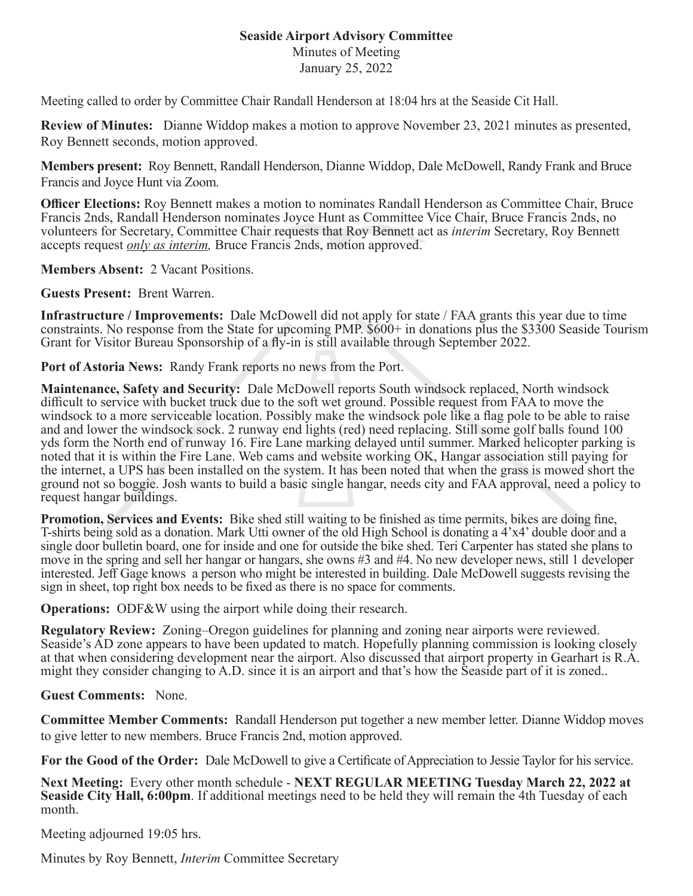## **Seaside Airport Advisory Committee**

Minutes of Meeting

January 25, 2022

Meeting called to order by Committee Chair Randall Henderson at 18:04 hrs at the Seaside Cit Hall.

**Review of Minutes:** Dianne Widdop makes a motion to approve November 23, 2021 minutes as presented, Roy Bennett seconds, motion approved.

**Members present:** Roy Bennett, Randall Henderson, Dianne Widdop, Dale McDowell, Randy Frank and Bruce Francis and Joyce Hunt via Zoom.

**Officer Elections:** Roy Bennett makes a motion to nominates Randall Henderson as Committee Chair, Bruce Francis 2nds, Randall Henderson nominates Joyce Hunt as Committee Vice Chair, Bruce Francis 2nds, no volunteers for Secretary, Committee Chair requests that Roy Bennett act as *interim* Secretary, Roy Bennett accepts request *only as interim,* Bruce Francis 2nds, motion approved.

**Members Absent:** 2 Vacant Positions.

**Guests Present:** Brent Warren.

**Infrastructure / Improvements:** Dale McDowell did not apply for state / FAA grants this year due to time constraints. No response from the State for upcoming PMP. \$600+ in donations plus the \$3300 Seaside Tourism Grant for Visitor Bureau Sponsorship of a fly-in is still available through September 2022.

**Port of Astoria News:** Randy Frank reports no news from the Port.

**Maintenance, Safety and Security:** Dale McDowell reports South windsock replaced, North windsock difficult to service with bucket truck due to the soft wet ground. Possible request from FAA to move the windsock to a more serviceable location. Possibly make the windsock pole like a flag pole to be able to raise and and lower the windsock sock. 2 runway end lights (red) need replacing. Still some golf balls found 100 yds form the North end of runway 16. Fire Lane marking delayed until summer. Marked helicopter parking is noted that it is within the Fire Lane. Web cams and website working OK, Hangar association still paying for the internet, a UPS has been installed on the system. It has been noted that when the grass is mowed short the ground not so boggie. Josh wants to build a basic single hangar, needs city and FAA approval, need a policy to request hangar buildings.

**Promotion, Services and Events:** Bike shed still waiting to be finished as time permits, bikes are doing fine, T-shirts being sold as a donation. Mark Utti owner of the old High School is donating a 4'x4' double door and a single door bulletin board, one for inside and one for outside the bike shed. Teri Carpenter has stated she plans to move in the spring and sell her hangar or hangars, she owns #3 and #4. No new developer news, still 1 developer interested. Jeff Gage knows a person who might be interested in building. Dale McDowell suggests revising the sign in sheet, top right box needs to be fixed as there is no space for comments.

**Operations:** ODF&W using the airport while doing their research.

**Regulatory Review:** Zoning–Oregon guidelines for planning and zoning near airports were reviewed. Seaside's AD zone appears to have been updated to match. Hopefully planning commission is looking closely at that when considering development near the airport. Also discussed that airport property in Gearhart is R.A. might they consider changing to A.D. since it is an airport and that's how the Seaside part of it is zoned..

## **Guest Comments:** None.

**Committee Member Comments:** Randall Henderson put together a new member letter. Dianne Widdop moves to give letter to new members. Bruce Francis 2nd, motion approved.

**For the Good of the Order:** Dale McDowell to give a Certificate of Appreciation to Jessie Taylor for his service.

**Next Meeting:** Every other month schedule - **NEXT REGULAR MEETING Tuesday March 22, 2022 at Seaside City Hall, 6:00pm**. If additional meetings need to be held they will remain the 4th Tuesday of each month.

Meeting adjourned 19:05 hrs.

Minutes by Roy Bennett, *Interim* Committee Secretary